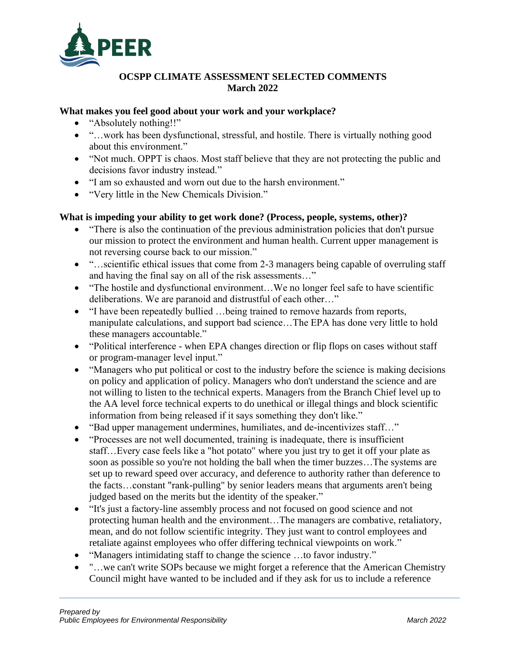

#### **OCSPP CLIMATE ASSESSMENT SELECTED COMMENTS March 2022**

#### **What makes you feel good about your work and your workplace?**

- "Absolutely nothing!!"
- "…work has been dysfunctional, stressful, and hostile. There is virtually nothing good about this environment."
- "Not much. OPPT is chaos. Most staff believe that they are not protecting the public and decisions favor industry instead."
- "I am so exhausted and worn out due to the harsh environment."
- "Very little in the New Chemicals Division."

#### **What is impeding your ability to get work done? (Process, people, systems, other)?**

- "There is also the continuation of the previous administration policies that don't pursue our mission to protect the environment and human health. Current upper management is not reversing course back to our mission."
- "...scientific ethical issues that come from 2-3 managers being capable of overruling staff and having the final say on all of the risk assessments…"
- "The hostile and dysfunctional environment...We no longer feel safe to have scientific deliberations. We are paranoid and distrustful of each other…"
- "I have been repeatedly bullied ... being trained to remove hazards from reports, manipulate calculations, and support bad science…The EPA has done very little to hold these managers accountable."
- "Political interference when EPA changes direction or flip flops on cases without staff or program-manager level input."
- "Managers who put political or cost to the industry before the science is making decisions on policy and application of policy. Managers who don't understand the science and are not willing to listen to the technical experts. Managers from the Branch Chief level up to the AA level force technical experts to do unethical or illegal things and block scientific information from being released if it says something they don't like."
- "Bad upper management undermines, humiliates, and de-incentivizes staff..."
- "Processes are not well documented, training is inadequate, there is insufficient staff…Every case feels like a "hot potato" where you just try to get it off your plate as soon as possible so you're not holding the ball when the timer buzzes…The systems are set up to reward speed over accuracy, and deference to authority rather than deference to the facts…constant "rank-pulling" by senior leaders means that arguments aren't being judged based on the merits but the identity of the speaker."
- "It's just a factory-line assembly process and not focused on good science and not protecting human health and the environment…The managers are combative, retaliatory, mean, and do not follow scientific integrity. They just want to control employees and retaliate against employees who offer differing technical viewpoints on work."
- "Managers intimidating staff to change the science ...to favor industry."
- "...we can't write SOPs because we might forget a reference that the American Chemistry Council might have wanted to be included and if they ask for us to include a reference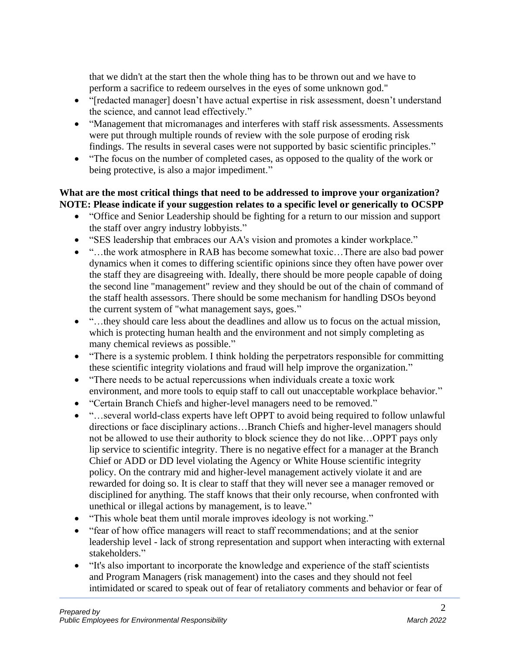that we didn't at the start then the whole thing has to be thrown out and we have to perform a sacrifice to redeem ourselves in the eyes of some unknown god."

- "[redacted manager] doesn't have actual expertise in risk assessment, doesn't understand the science, and cannot lead effectively."
- "Management that micromanages and interferes with staff risk assessments. Assessments were put through multiple rounds of review with the sole purpose of eroding risk findings. The results in several cases were not supported by basic scientific principles."
- "The focus on the number of completed cases, as opposed to the quality of the work or being protective, is also a major impediment."

### **What are the most critical things that need to be addressed to improve your organization? NOTE: Please indicate if your suggestion relates to a specific level or generically to OCSPP**

- "Office and Senior Leadership should be fighting for a return to our mission and support the staff over angry industry lobbyists."
- "SES leadership that embraces our AA's vision and promotes a kinder workplace."
- "...the work atmosphere in RAB has become somewhat toxic...There are also bad power dynamics when it comes to differing scientific opinions since they often have power over the staff they are disagreeing with. Ideally, there should be more people capable of doing the second line "management" review and they should be out of the chain of command of the staff health assessors. There should be some mechanism for handling DSOs beyond the current system of "what management says, goes."
- "...they should care less about the deadlines and allow us to focus on the actual mission, which is protecting human health and the environment and not simply completing as many chemical reviews as possible."
- "There is a systemic problem. I think holding the perpetrators responsible for committing these scientific integrity violations and fraud will help improve the organization."
- "There needs to be actual repercussions when individuals create a toxic work environment, and more tools to equip staff to call out unacceptable workplace behavior."
- "Certain Branch Chiefs and higher-level managers need to be removed."
- "…several world-class experts have left OPPT to avoid being required to follow unlawful directions or face disciplinary actions…Branch Chiefs and higher-level managers should not be allowed to use their authority to block science they do not like…OPPT pays only lip service to scientific integrity. There is no negative effect for a manager at the Branch Chief or ADD or DD level violating the Agency or White House scientific integrity policy. On the contrary mid and higher-level management actively violate it and are rewarded for doing so. It is clear to staff that they will never see a manager removed or disciplined for anything. The staff knows that their only recourse, when confronted with unethical or illegal actions by management, is to leave."
- "This whole beat them until morale improves ideology is not working."
- "fear of how office managers will react to staff recommendations; and at the senior leadership level - lack of strong representation and support when interacting with external stakeholders."
- "It's also important to incorporate the knowledge and experience of the staff scientists and Program Managers (risk management) into the cases and they should not feel intimidated or scared to speak out of fear of retaliatory comments and behavior or fear of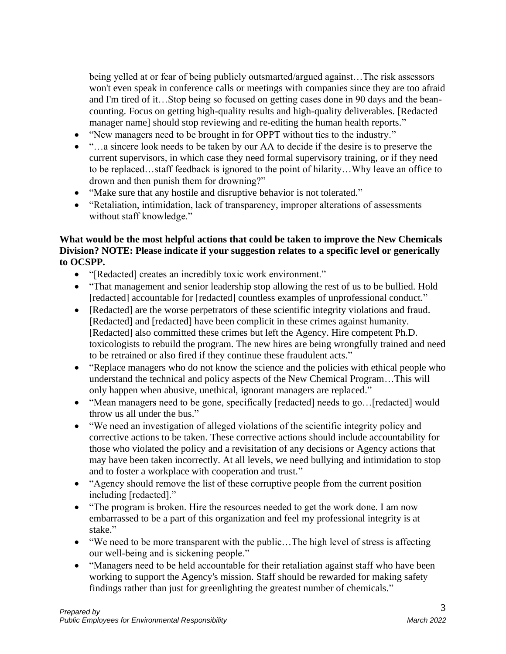being yelled at or fear of being publicly outsmarted/argued against…The risk assessors won't even speak in conference calls or meetings with companies since they are too afraid and I'm tired of it…Stop being so focused on getting cases done in 90 days and the beancounting. Focus on getting high-quality results and high-quality deliverables. [Redacted manager name] should stop reviewing and re-editing the human health reports."

- "New managers need to be brought in for OPPT without ties to the industry."
- "…a sincere look needs to be taken by our AA to decide if the desire is to preserve the current supervisors, in which case they need formal supervisory training, or if they need to be replaced…staff feedback is ignored to the point of hilarity…Why leave an office to drown and then punish them for drowning?"
- "Make sure that any hostile and disruptive behavior is not tolerated."
- "Retaliation, intimidation, lack of transparency, improper alterations of assessments without staff knowledge."

### **What would be the most helpful actions that could be taken to improve the New Chemicals Division? NOTE: Please indicate if your suggestion relates to a specific level or generically to OCSPP.**

- "[Redacted] creates an incredibly toxic work environment."
- "That management and senior leadership stop allowing the rest of us to be bullied. Hold [redacted] accountable for [redacted] countless examples of unprofessional conduct."
- [Redacted] are the worse perpetrators of these scientific integrity violations and fraud. [Redacted] and [redacted] have been complicit in these crimes against humanity. [Redacted] also committed these crimes but left the Agency. Hire competent Ph.D. toxicologists to rebuild the program. The new hires are being wrongfully trained and need to be retrained or also fired if they continue these fraudulent acts."
- "Replace managers who do not know the science and the policies with ethical people who understand the technical and policy aspects of the New Chemical Program…This will only happen when abusive, unethical, ignorant managers are replaced."
- "Mean managers need to be gone, specifically [redacted] needs to go...[redacted] would throw us all under the bus."
- "We need an investigation of alleged violations of the scientific integrity policy and corrective actions to be taken. These corrective actions should include accountability for those who violated the policy and a revisitation of any decisions or Agency actions that may have been taken incorrectly. At all levels, we need bullying and intimidation to stop and to foster a workplace with cooperation and trust."
- "Agency should remove the list of these corruptive people from the current position including [redacted]."
- "The program is broken. Hire the resources needed to get the work done. I am now embarrassed to be a part of this organization and feel my professional integrity is at stake."
- "We need to be more transparent with the public... The high level of stress is affecting our well-being and is sickening people."
- "Managers need to be held accountable for their retaliation against staff who have been working to support the Agency's mission. Staff should be rewarded for making safety findings rather than just for greenlighting the greatest number of chemicals."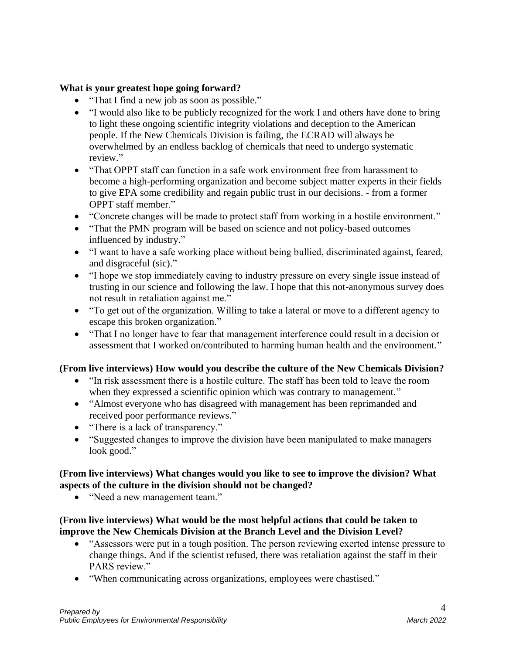### **What is your greatest hope going forward?**

- "That I find a new job as soon as possible."
- "I would also like to be publicly recognized for the work I and others have done to bring to light these ongoing scientific integrity violations and deception to the American people. If the New Chemicals Division is failing, the ECRAD will always be overwhelmed by an endless backlog of chemicals that need to undergo systematic review."
- "That OPPT staff can function in a safe work environment free from harassment to become a high-performing organization and become subject matter experts in their fields to give EPA some credibility and regain public trust in our decisions. - from a former OPPT staff member."
- "Concrete changes will be made to protect staff from working in a hostile environment."
- "That the PMN program will be based on science and not policy-based outcomes influenced by industry."
- "I want to have a safe working place without being bullied, discriminated against, feared, and disgraceful (sic)."
- "I hope we stop immediately caving to industry pressure on every single issue instead of trusting in our science and following the law. I hope that this not-anonymous survey does not result in retaliation against me."
- "To get out of the organization. Willing to take a lateral or move to a different agency to escape this broken organization."
- "That I no longer have to fear that management interference could result in a decision or assessment that I worked on/contributed to harming human health and the environment."

#### **(From live interviews) How would you describe the culture of the New Chemicals Division?**

- "In risk assessment there is a hostile culture. The staff has been told to leave the room when they expressed a scientific opinion which was contrary to management."
- "Almost everyone who has disagreed with management has been reprimanded and received poor performance reviews."
- "There is a lack of transparency."
- "Suggested changes to improve the division have been manipulated to make managers look good."

### **(From live interviews) What changes would you like to see to improve the division? What aspects of the culture in the division should not be changed?**

• "Need a new management team."

#### **(From live interviews) What would be the most helpful actions that could be taken to improve the New Chemicals Division at the Branch Level and the Division Level?**

- "Assessors were put in a tough position. The person reviewing exerted intense pressure to change things. And if the scientist refused, there was retaliation against the staff in their PARS review."
- "When communicating across organizations, employees were chastised."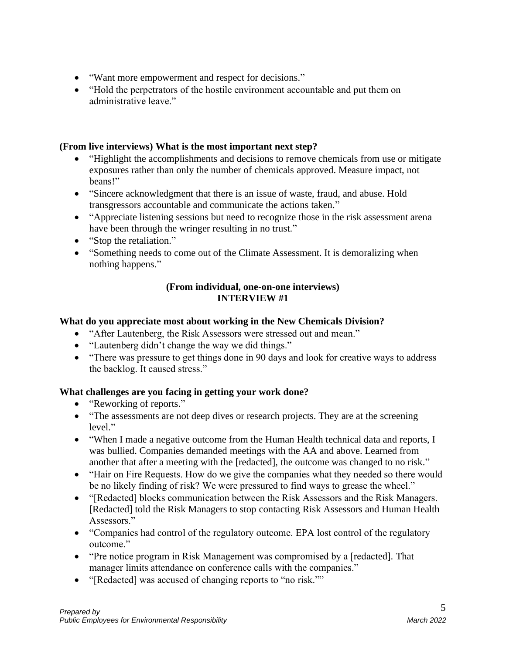- "Want more empowerment and respect for decisions."
- "Hold the perpetrators of the hostile environment accountable and put them on administrative leave."

#### **(From live interviews) What is the most important next step?**

- "Highlight the accomplishments and decisions to remove chemicals from use or mitigate exposures rather than only the number of chemicals approved. Measure impact, not beans!"
- "Sincere acknowledgment that there is an issue of waste, fraud, and abuse. Hold transgressors accountable and communicate the actions taken."
- "Appreciate listening sessions but need to recognize those in the risk assessment arena have been through the wringer resulting in no trust."
- "Stop the retaliation."
- "Something needs to come out of the Climate Assessment. It is demoralizing when nothing happens."

#### **(From individual, one-on-one interviews) INTERVIEW #1**

### **What do you appreciate most about working in the New Chemicals Division?**

- "After Lautenberg, the Risk Assessors were stressed out and mean."
- "Lautenberg didn't change the way we did things."
- "There was pressure to get things done in 90 days and look for creative ways to address the backlog. It caused stress."

- "Reworking of reports."
- "The assessments are not deep dives or research projects. They are at the screening level."
- "When I made a negative outcome from the Human Health technical data and reports, I was bullied. Companies demanded meetings with the AA and above. Learned from another that after a meeting with the [redacted], the outcome was changed to no risk."
- "Hair on Fire Requests. How do we give the companies what they needed so there would be no likely finding of risk? We were pressured to find ways to grease the wheel."
- "[Redacted] blocks communication between the Risk Assessors and the Risk Managers. [Redacted] told the Risk Managers to stop contacting Risk Assessors and Human Health Assessors."
- "Companies had control of the regulatory outcome. EPA lost control of the regulatory outcome."
- "Pre notice program in Risk Management was compromised by a [redacted]. That manager limits attendance on conference calls with the companies."
- "[Redacted] was accused of changing reports to "no risk.""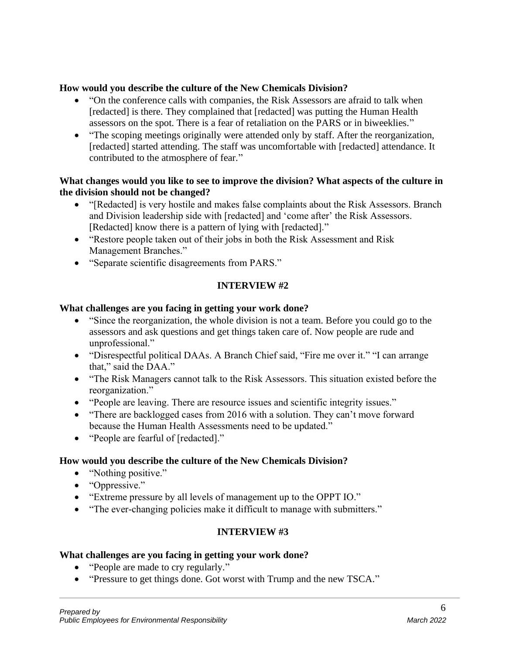#### **How would you describe the culture of the New Chemicals Division?**

- "On the conference calls with companies, the Risk Assessors are afraid to talk when [redacted] is there. They complained that [redacted] was putting the Human Health assessors on the spot. There is a fear of retaliation on the PARS or in biweeklies."
- "The scoping meetings originally were attended only by staff. After the reorganization, [redacted] started attending. The staff was uncomfortable with [redacted] attendance. It contributed to the atmosphere of fear."

#### **What changes would you like to see to improve the division? What aspects of the culture in the division should not be changed?**

- "[Redacted] is very hostile and makes false complaints about the Risk Assessors. Branch and Division leadership side with [redacted] and 'come after' the Risk Assessors. [Redacted] know there is a pattern of lying with [redacted]."
- "Restore people taken out of their jobs in both the Risk Assessment and Risk Management Branches."
- "Separate scientific disagreements from PARS."

### **INTERVIEW #2**

#### **What challenges are you facing in getting your work done?**

- "Since the reorganization, the whole division is not a team. Before you could go to the assessors and ask questions and get things taken care of. Now people are rude and unprofessional."
- "Disrespectful political DAAs. A Branch Chief said, "Fire me over it." "I can arrange that," said the DAA."
- "The Risk Managers cannot talk to the Risk Assessors. This situation existed before the reorganization."
- "People are leaving. There are resource issues and scientific integrity issues."
- "There are backlogged cases from 2016 with a solution. They can't move forward because the Human Health Assessments need to be updated."
- "People are fearful of [redacted]."

## **How would you describe the culture of the New Chemicals Division?**

- "Nothing positive."
- "Oppressive."
- "Extreme pressure by all levels of management up to the OPPT IO."
- "The ever-changing policies make it difficult to manage with submitters."

## **INTERVIEW #3**

- "People are made to cry regularly."
- "Pressure to get things done. Got worst with Trump and the new TSCA."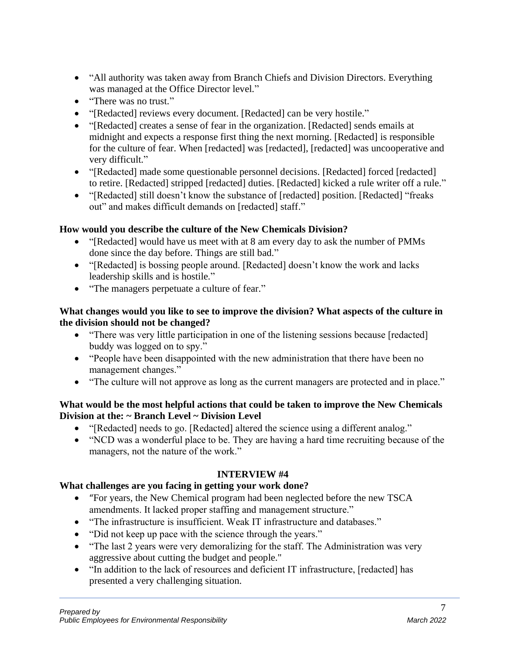- "All authority was taken away from Branch Chiefs and Division Directors. Everything was managed at the Office Director level."
- "There was no trust."
- "[Redacted] reviews every document. [Redacted] can be very hostile."
- "[Redacted] creates a sense of fear in the organization. [Redacted] sends emails at midnight and expects a response first thing the next morning. [Redacted] is responsible for the culture of fear. When [redacted] was [redacted], [redacted] was uncooperative and very difficult."
- "[Redacted] made some questionable personnel decisions. [Redacted] forced [redacted] to retire. [Redacted] stripped [redacted] duties. [Redacted] kicked a rule writer off a rule."
- "[Redacted] still doesn't know the substance of [redacted] position. [Redacted] "freaks out" and makes difficult demands on [redacted] staff."

# **How would you describe the culture of the New Chemicals Division?**

- "[Redacted] would have us meet with at 8 am every day to ask the number of PMMs done since the day before. Things are still bad."
- "[Redacted] is bossing people around. [Redacted] doesn't know the work and lacks leadership skills and is hostile."
- "The managers perpetuate a culture of fear."

### **What changes would you like to see to improve the division? What aspects of the culture in the division should not be changed?**

- "There was very little participation in one of the listening sessions because [redacted] buddy was logged on to spy."
- "People have been disappointed with the new administration that there have been no management changes."
- "The culture will not approve as long as the current managers are protected and in place."

## **What would be the most helpful actions that could be taken to improve the New Chemicals Division at the: ~ Branch Level ~ Division Level**

- "[Redacted] needs to go. [Redacted] altered the science using a different analog."
- "NCD was a wonderful place to be. They are having a hard time recruiting because of the managers, not the nature of the work."

## **INTERVIEW #4**

- "For years, the New Chemical program had been neglected before the new TSCA amendments. It lacked proper staffing and management structure."
- "The infrastructure is insufficient. Weak IT infrastructure and databases."
- "Did not keep up pace with the science through the years."
- "The last 2 years were very demoralizing for the staff. The Administration was very aggressive about cutting the budget and people."
- "In addition to the lack of resources and deficient IT infrastructure, [redacted] has presented a very challenging situation.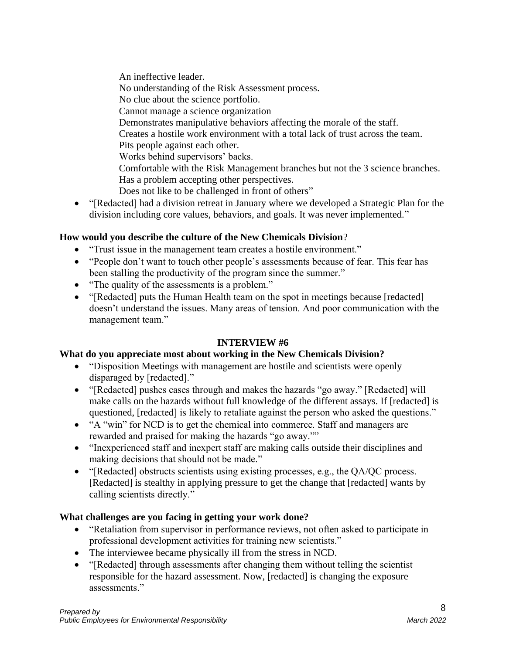An ineffective leader. No understanding of the Risk Assessment process. No clue about the science portfolio. Cannot manage a science organization Demonstrates manipulative behaviors affecting the morale of the staff. Creates a hostile work environment with a total lack of trust across the team. Pits people against each other. Works behind supervisors' backs. Comfortable with the Risk Management branches but not the 3 science branches. Has a problem accepting other perspectives. Does not like to be challenged in front of others"

• "[Redacted] had a division retreat in January where we developed a Strategic Plan for the division including core values, behaviors, and goals. It was never implemented."

# **How would you describe the culture of the New Chemicals Division**?

- "Trust issue in the management team creates a hostile environment."
- "People don't want to touch other people's assessments because of fear. This fear has been stalling the productivity of the program since the summer."
- "The quality of the assessments is a problem."
- "[Redacted] puts the Human Health team on the spot in meetings because [redacted] doesn't understand the issues. Many areas of tension. And poor communication with the management team."

## **INTERVIEW #6**

## **What do you appreciate most about working in the New Chemicals Division?**

- "Disposition Meetings with management are hostile and scientists were openly disparaged by [redacted]."
- "[Redacted] pushes cases through and makes the hazards "go away." [Redacted] will make calls on the hazards without full knowledge of the different assays. If [redacted] is questioned, [redacted] is likely to retaliate against the person who asked the questions."
- "A "win" for NCD is to get the chemical into commerce. Staff and managers are rewarded and praised for making the hazards "go away.""
- "Inexperienced staff and inexpert staff are making calls outside their disciplines and making decisions that should not be made."
- "[Redacted] obstructs scientists using existing processes, e.g., the QA/QC process. [Redacted] is stealthy in applying pressure to get the change that [redacted] wants by calling scientists directly."

- "Retaliation from supervisor in performance reviews, not often asked to participate in professional development activities for training new scientists."
- The interviewee became physically ill from the stress in NCD.
- "[Redacted] through assessments after changing them without telling the scientist responsible for the hazard assessment. Now, [redacted] is changing the exposure assessments."